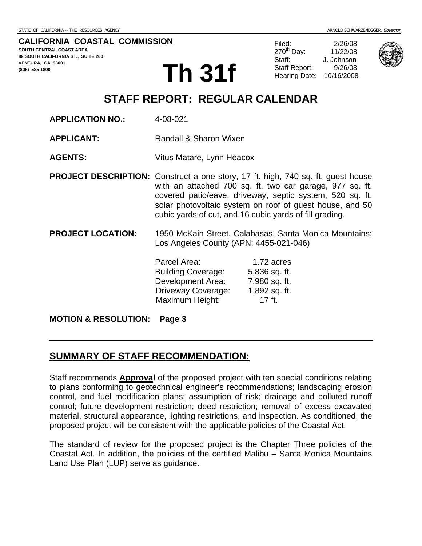#### **CALIFORNIA COASTAL COMMISSION**

**SOUTH CENTRAL COAST AREA 89 SOUTH CALIFORNIA ST., SUITE 200 VENTURA, CA 93001 (805) 585-1800** 

**Th 31f** Staff Report: 9/26/08

Filed: 2/26/08 270th Day: 11/22/08 Staff: J. Johnson



# **STAFF REPORT: REGULAR CALENDAR**

**APPLICATION NO.:** 4-08-021 **APPLICANT:** Randall & Sharon Wixen **AGENTS:** Vitus Matare, Lynn Heacox **PROJECT DESCRIPTION:** Construct a one story, 17 ft. high, 740 sq. ft. guest house with an attached 700 sq. ft. two car garage, 977 sq. ft. covered patio/eave, driveway, septic system, 520 sq. ft. solar photovoltaic system on roof of guest house, and 50 cubic yards of cut, and 16 cubic yards of fill grading. **PROJECT LOCATION:** 1950 McKain Street, Calabasas, Santa Monica Mountains; Los Angeles County (APN: 4455-021-046) Parcel Area: 1.72 acres Building Coverage: 5,836 sq. ft. Development Area: 7,980 sq. ft. Driveway Coverage: 1,892 sq. ft. Maximum Height: 17 ft.

#### **MOTION & RESOLUTION: Page 3**

## **SUMMARY OF STAFF RECOMMENDATION:**

Staff recommends **Approval** of the proposed project with ten special conditions relating to plans conforming to geotechnical engineer's recommendations; landscaping erosion control, and fuel modification plans; assumption of risk; drainage and polluted runoff control; future development restriction; deed restriction; removal of excess excavated material, structural appearance, lighting restrictions, and inspection. As conditioned, the proposed project will be consistent with the applicable policies of the Coastal Act.

The standard of review for the proposed project is the Chapter Three policies of the Coastal Act. In addition, the policies of the certified Malibu – Santa Monica Mountains Land Use Plan (LUP) serve as guidance.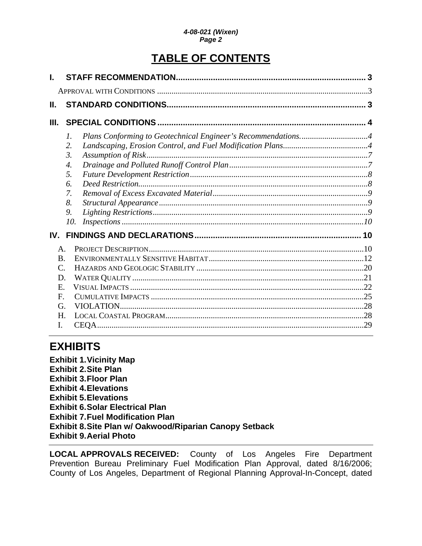# **TABLE OF CONTENTS**

| Н.              |                  |                                                              |  |
|-----------------|------------------|--------------------------------------------------------------|--|
| Ш.              |                  |                                                              |  |
|                 | 1.<br>2.         | Plans Conforming to Geotechnical Engineer's Recommendations4 |  |
|                 | 3.               |                                                              |  |
|                 | $\overline{4}$ . |                                                              |  |
|                 | 5.               |                                                              |  |
|                 | 6.               |                                                              |  |
|                 | 7.               |                                                              |  |
|                 | 8.               |                                                              |  |
|                 | 9.               |                                                              |  |
|                 | 10.              |                                                              |  |
| IV.             |                  |                                                              |  |
| $\mathsf{A}$ .  |                  |                                                              |  |
| <b>B.</b>       |                  |                                                              |  |
| $\mathcal{C}$ . |                  |                                                              |  |
| D.              |                  |                                                              |  |
| E.              |                  |                                                              |  |
| F.              |                  |                                                              |  |
| G.              |                  |                                                              |  |
| H.              |                  |                                                              |  |
| Ι.              |                  |                                                              |  |

# **EXHIBITS**

**Exhibit 1. Vicinity Map Exhibit 2. Site Plan Exhibit 3. Floor Plan Exhibit 4. Elevations Exhibit 5. Elevations Exhibit 6. Solar Electrical Plan Exhibit 7. Fuel Modification Plan Exhibit 8. Site Plan w/ Oakwood/Riparian Canopy Setback Exhibit 9. Aerial Photo** 

**LOCAL APPROVALS RECEIVED:** County of Los Angeles Fire Department Prevention Bureau Preliminary Fuel Modification Plan Approval, dated 8/16/2006; County of Los Angeles, Department of Regional Planning Approval-In-Concept, dated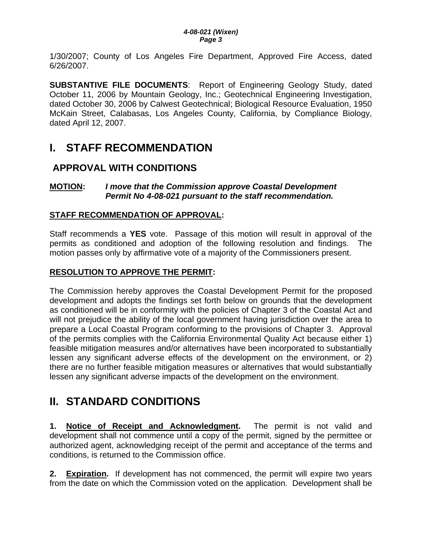<span id="page-2-0"></span>1/30/2007; County of Los Angeles Fire Department, Approved Fire Access, dated 6/26/2007.

**SUBSTANTIVE FILE DOCUMENTS**: Report of Engineering Geology Study, dated October 11, 2006 by Mountain Geology, Inc.; Geotechnical Engineering Investigation, dated October 30, 2006 by Calwest Geotechnical; Biological Resource Evaluation, 1950 McKain Street, Calabasas, Los Angeles County, California, by Compliance Biology, dated April 12, 2007.

# **I. STAFF RECOMMENDATION**

## **APPROVAL WITH CONDITIONS**

### **MOTION:** *I move that the Commission approve Coastal Development Permit No 4-08-021 pursuant to the staff recommendation.*

## **STAFF RECOMMENDATION OF APPROVAL:**

Staff recommends a **YES** vote. Passage of this motion will result in approval of the permits as conditioned and adoption of the following resolution and findings. The motion passes only by affirmative vote of a majority of the Commissioners present.

## **RESOLUTION TO APPROVE THE PERMIT:**

The Commission hereby approves the Coastal Development Permit for the proposed development and adopts the findings set forth below on grounds that the development as conditioned will be in conformity with the policies of Chapter 3 of the Coastal Act and will not prejudice the ability of the local government having jurisdiction over the area to prepare a Local Coastal Program conforming to the provisions of Chapter 3. Approval of the permits complies with the California Environmental Quality Act because either 1) feasible mitigation measures and/or alternatives have been incorporated to substantially lessen any significant adverse effects of the development on the environment, or 2) there are no further feasible mitigation measures or alternatives that would substantially lessen any significant adverse impacts of the development on the environment.

# **II. STANDARD CONDITIONS**

**1. Notice of Receipt and Acknowledgment.** The permit is not valid and development shall not commence until a copy of the permit, signed by the permittee or authorized agent, acknowledging receipt of the permit and acceptance of the terms and conditions, is returned to the Commission office.

**2. Expiration.** If development has not commenced, the permit will expire two years from the date on which the Commission voted on the application. Development shall be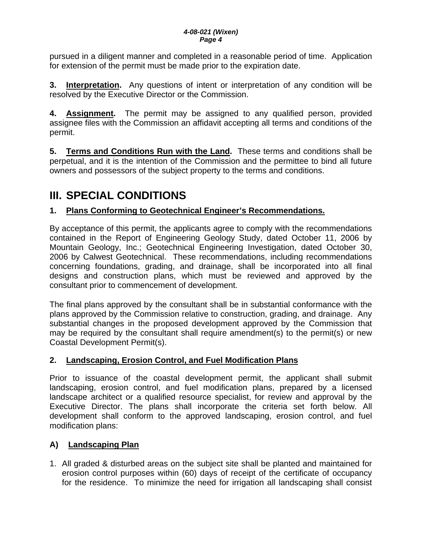<span id="page-3-0"></span>pursued in a diligent manner and completed in a reasonable period of time. Application for extension of the permit must be made prior to the expiration date.

**3. Interpretation.** Any questions of intent or interpretation of any condition will be resolved by the Executive Director or the Commission.

**4. Assignment.** The permit may be assigned to any qualified person, provided assignee files with the Commission an affidavit accepting all terms and conditions of the permit.

**5. Terms and Conditions Run with the Land.** These terms and conditions shall be perpetual, and it is the intention of the Commission and the permittee to bind all future owners and possessors of the subject property to the terms and conditions.

# **III. SPECIAL CONDITIONS**

## **1. Plans Conforming to Geotechnical Engineer's Recommendations.**

By acceptance of this permit, the applicants agree to comply with the recommendations contained in the Report of Engineering Geology Study, dated October 11, 2006 by Mountain Geology, Inc.; Geotechnical Engineering Investigation, dated October 30, 2006 by Calwest Geotechnical. These recommendations, including recommendations concerning foundations, grading, and drainage, shall be incorporated into all final designs and construction plans, which must be reviewed and approved by the consultant prior to commencement of development.

The final plans approved by the consultant shall be in substantial conformance with the plans approved by the Commission relative to construction, grading, and drainage. Any substantial changes in the proposed development approved by the Commission that may be required by the consultant shall require amendment(s) to the permit(s) or new Coastal Development Permit(s).

## **2. Landscaping, Erosion Control, and Fuel Modification Plans**

Prior to issuance of the coastal development permit, the applicant shall submit landscaping, erosion control, and fuel modification plans, prepared by a licensed landscape architect or a qualified resource specialist, for review and approval by the Executive Director. The plans shall incorporate the criteria set forth below. All development shall conform to the approved landscaping, erosion control, and fuel modification plans:

## **A) Landscaping Plan**

1. All graded & disturbed areas on the subject site shall be planted and maintained for erosion control purposes within (60) days of receipt of the certificate of occupancy for the residence. To minimize the need for irrigation all landscaping shall consist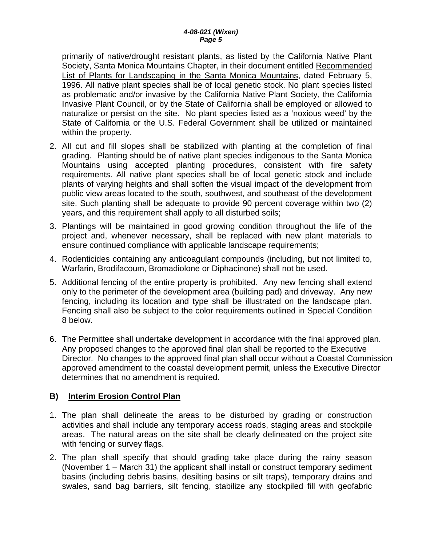primarily of native/drought resistant plants, as listed by the California Native Plant Society, Santa Monica Mountains Chapter, in their document entitled Recommended List of Plants for Landscaping in the Santa Monica Mountains, dated February 5, 1996. All native plant species shall be of local genetic stock. No plant species listed as problematic and/or invasive by the California Native Plant Society, the California Invasive Plant Council, or by the State of California shall be employed or allowed to naturalize or persist on the site. No plant species listed as a 'noxious weed' by the State of California or the U.S. Federal Government shall be utilized or maintained within the property.

- 2. All cut and fill slopes shall be stabilized with planting at the completion of final grading. Planting should be of native plant species indigenous to the Santa Monica Mountains using accepted planting procedures, consistent with fire safety requirements. All native plant species shall be of local genetic stock and include plants of varying heights and shall soften the visual impact of the development from public view areas located to the south, southwest, and southeast of the development site. Such planting shall be adequate to provide 90 percent coverage within two (2) years, and this requirement shall apply to all disturbed soils;
- 3. Plantings will be maintained in good growing condition throughout the life of the project and, whenever necessary, shall be replaced with new plant materials to ensure continued compliance with applicable landscape requirements;
- 4. Rodenticides containing any anticoagulant compounds (including, but not limited to, Warfarin, Brodifacoum, Bromadiolone or Diphacinone) shall not be used.
- 5. Additional fencing of the entire property is prohibited. Any new fencing shall extend only to the perimeter of the development area (building pad) and driveway. Any new fencing, including its location and type shall be illustrated on the landscape plan. Fencing shall also be subject to the color requirements outlined in Special Condition 8 below.
- 6. The Permittee shall undertake development in accordance with the final approved plan. Any proposed changes to the approved final plan shall be reported to the Executive Director. No changes to the approved final plan shall occur without a Coastal Commission approved amendment to the coastal development permit, unless the Executive Director determines that no amendment is required.

## **B) Interim Erosion Control Plan**

- 1. The plan shall delineate the areas to be disturbed by grading or construction activities and shall include any temporary access roads, staging areas and stockpile areas. The natural areas on the site shall be clearly delineated on the project site with fencing or survey flags.
- 2. The plan shall specify that should grading take place during the rainy season (November 1 – March 31) the applicant shall install or construct temporary sediment basins (including debris basins, desilting basins or silt traps), temporary drains and swales, sand bag barriers, silt fencing, stabilize any stockpiled fill with geofabric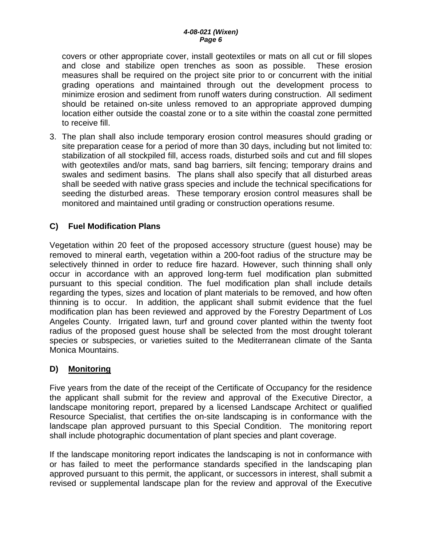covers or other appropriate cover, install geotextiles or mats on all cut or fill slopes and close and stabilize open trenches as soon as possible. These erosion measures shall be required on the project site prior to or concurrent with the initial grading operations and maintained through out the development process to minimize erosion and sediment from runoff waters during construction. All sediment should be retained on-site unless removed to an appropriate approved dumping location either outside the coastal zone or to a site within the coastal zone permitted to receive fill.

3. The plan shall also include temporary erosion control measures should grading or site preparation cease for a period of more than 30 days, including but not limited to: stabilization of all stockpiled fill, access roads, disturbed soils and cut and fill slopes with geotextiles and/or mats, sand bag barriers, silt fencing; temporary drains and swales and sediment basins. The plans shall also specify that all disturbed areas shall be seeded with native grass species and include the technical specifications for seeding the disturbed areas. These temporary erosion control measures shall be monitored and maintained until grading or construction operations resume.

## **C) Fuel Modification Plans**

Vegetation within 20 feet of the proposed accessory structure (guest house) may be removed to mineral earth, vegetation within a 200-foot radius of the structure may be selectively thinned in order to reduce fire hazard. However, such thinning shall only occur in accordance with an approved long-term fuel modification plan submitted pursuant to this special condition. The fuel modification plan shall include details regarding the types, sizes and location of plant materials to be removed, and how often thinning is to occur. In addition, the applicant shall submit evidence that the fuel modification plan has been reviewed and approved by the Forestry Department of Los Angeles County. Irrigated lawn, turf and ground cover planted within the twenty foot radius of the proposed guest house shall be selected from the most drought tolerant species or subspecies, or varieties suited to the Mediterranean climate of the Santa Monica Mountains.

### **D) Monitoring**

Five years from the date of the receipt of the Certificate of Occupancy for the residence the applicant shall submit for the review and approval of the Executive Director, a landscape monitoring report, prepared by a licensed Landscape Architect or qualified Resource Specialist, that certifies the on-site landscaping is in conformance with the landscape plan approved pursuant to this Special Condition. The monitoring report shall include photographic documentation of plant species and plant coverage.

If the landscape monitoring report indicates the landscaping is not in conformance with or has failed to meet the performance standards specified in the landscaping plan approved pursuant to this permit, the applicant, or successors in interest, shall submit a revised or supplemental landscape plan for the review and approval of the Executive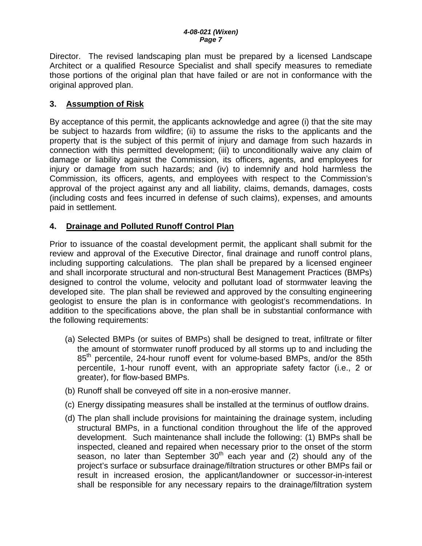<span id="page-6-0"></span>Director. The revised landscaping plan must be prepared by a licensed Landscape Architect or a qualified Resource Specialist and shall specify measures to remediate those portions of the original plan that have failed or are not in conformance with the original approved plan.

## **3. Assumption of Risk**

By acceptance of this permit, the applicants acknowledge and agree (i) that the site may be subject to hazards from wildfire; (ii) to assume the risks to the applicants and the property that is the subject of this permit of injury and damage from such hazards in connection with this permitted development; (iii) to unconditionally waive any claim of damage or liability against the Commission, its officers, agents, and employees for injury or damage from such hazards; and (iv) to indemnify and hold harmless the Commission, its officers, agents, and employees with respect to the Commission's approval of the project against any and all liability, claims, demands, damages, costs (including costs and fees incurred in defense of such claims), expenses, and amounts paid in settlement.

## **4. Drainage and Polluted Runoff Control Plan**

Prior to issuance of the coastal development permit, the applicant shall submit for the review and approval of the Executive Director, final drainage and runoff control plans, including supporting calculations. The plan shall be prepared by a licensed engineer and shall incorporate structural and non-structural Best Management Practices (BMPs) designed to control the volume, velocity and pollutant load of stormwater leaving the developed site. The plan shall be reviewed and approved by the consulting engineering geologist to ensure the plan is in conformance with geologist's recommendations. In addition to the specifications above, the plan shall be in substantial conformance with the following requirements:

- (a) Selected BMPs (or suites of BMPs) shall be designed to treat, infiltrate or filter the amount of stormwater runoff produced by all storms up to and including the 85<sup>th</sup> percentile, 24-hour runoff event for volume-based BMPs, and/or the 85th percentile, 1-hour runoff event, with an appropriate safety factor (i.e., 2 or greater), for flow-based BMPs.
- (b) Runoff shall be conveyed off site in a non-erosive manner.
- (c) Energy dissipating measures shall be installed at the terminus of outflow drains.
- (d) The plan shall include provisions for maintaining the drainage system, including structural BMPs, in a functional condition throughout the life of the approved development. Such maintenance shall include the following: (1) BMPs shall be inspected, cleaned and repaired when necessary prior to the onset of the storm season, no later than September  $30<sup>th</sup>$  each year and (2) should any of the project's surface or subsurface drainage/filtration structures or other BMPs fail or result in increased erosion, the applicant/landowner or successor-in-interest shall be responsible for any necessary repairs to the drainage/filtration system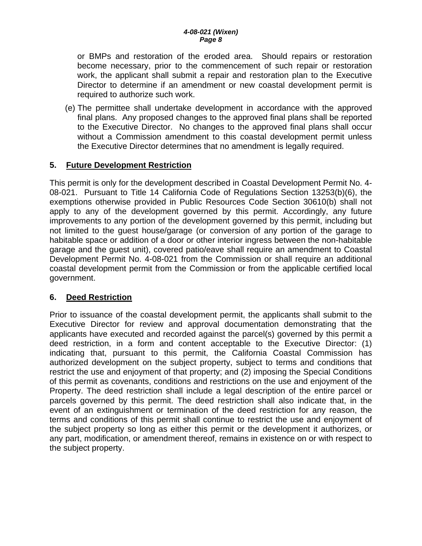<span id="page-7-0"></span>or BMPs and restoration of the eroded area. Should repairs or restoration become necessary, prior to the commencement of such repair or restoration work, the applicant shall submit a repair and restoration plan to the Executive Director to determine if an amendment or new coastal development permit is required to authorize such work.

(e) The permittee shall undertake development in accordance with the approved final plans. Any proposed changes to the approved final plans shall be reported to the Executive Director. No changes to the approved final plans shall occur without a Commission amendment to this coastal development permit unless the Executive Director determines that no amendment is legally required.

### **5. Future Development Restriction**

This permit is only for the development described in Coastal Development Permit No. 4- 08-021. Pursuant to Title 14 California Code of Regulations Section 13253(b)(6), the exemptions otherwise provided in Public Resources Code Section 30610(b) shall not apply to any of the development governed by this permit. Accordingly, any future improvements to any portion of the development governed by this permit, including but not limited to the guest house/garage (or conversion of any portion of the garage to habitable space or addition of a door or other interior ingress between the non-habitable garage and the guest unit), covered patio/eave shall require an amendment to Coastal Development Permit No. 4-08-021 from the Commission or shall require an additional coastal development permit from the Commission or from the applicable certified local government.

### **6. Deed Restriction**

Prior to issuance of the coastal development permit, the applicants shall submit to the Executive Director for review and approval documentation demonstrating that the applicants have executed and recorded against the parcel(s) governed by this permit a deed restriction, in a form and content acceptable to the Executive Director: (1) indicating that, pursuant to this permit, the California Coastal Commission has authorized development on the subject property, subject to terms and conditions that restrict the use and enjoyment of that property; and (2) imposing the Special Conditions of this permit as covenants, conditions and restrictions on the use and enjoyment of the Property. The deed restriction shall include a legal description of the entire parcel or parcels governed by this permit. The deed restriction shall also indicate that, in the event of an extinguishment or termination of the deed restriction for any reason, the terms and conditions of this permit shall continue to restrict the use and enjoyment of the subject property so long as either this permit or the development it authorizes, or any part, modification, or amendment thereof, remains in existence on or with respect to the subject property.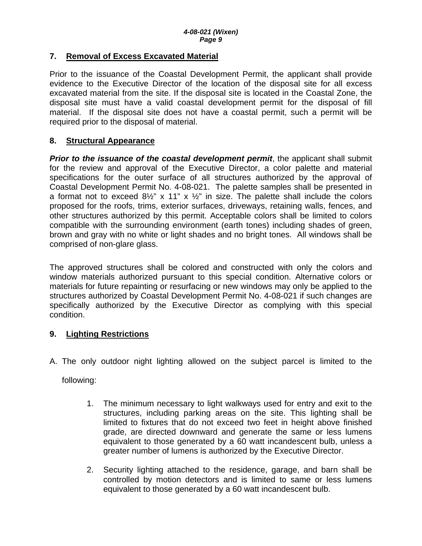### <span id="page-8-0"></span>**7. Removal of Excess Excavated Material**

Prior to the issuance of the Coastal Development Permit, the applicant shall provide evidence to the Executive Director of the location of the disposal site for all excess excavated material from the site. If the disposal site is located in the Coastal Zone, the disposal site must have a valid coastal development permit for the disposal of fill material. If the disposal site does not have a coastal permit, such a permit will be required prior to the disposal of material.

## **8. Structural Appearance**

**Prior to the issuance of the coastal development permit**, the applicant shall submit for the review and approval of the Executive Director, a color palette and material specifications for the outer surface of all structures authorized by the approval of Coastal Development Permit No. 4-08-021. The palette samples shall be presented in a format not to exceed  $8\frac{1}{2}$ " x 11" x  $\frac{1}{2}$ " in size. The palette shall include the colors proposed for the roofs, trims, exterior surfaces, driveways, retaining walls, fences, and other structures authorized by this permit. Acceptable colors shall be limited to colors compatible with the surrounding environment (earth tones) including shades of green, brown and gray with no white or light shades and no bright tones. All windows shall be comprised of non-glare glass.

The approved structures shall be colored and constructed with only the colors and window materials authorized pursuant to this special condition. Alternative colors or materials for future repainting or resurfacing or new windows may only be applied to the structures authorized by Coastal Development Permit No. 4-08-021 if such changes are specifically authorized by the Executive Director as complying with this special condition.

## **9. Lighting Restrictions**

A. The only outdoor night lighting allowed on the subject parcel is limited to the

following:

- 1. The minimum necessary to light walkways used for entry and exit to the structures, including parking areas on the site. This lighting shall be limited to fixtures that do not exceed two feet in height above finished grade, are directed downward and generate the same or less lumens equivalent to those generated by a 60 watt incandescent bulb, unless a greater number of lumens is authorized by the Executive Director.
- 2. Security lighting attached to the residence, garage, and barn shall be controlled by motion detectors and is limited to same or less lumens equivalent to those generated by a 60 watt incandescent bulb.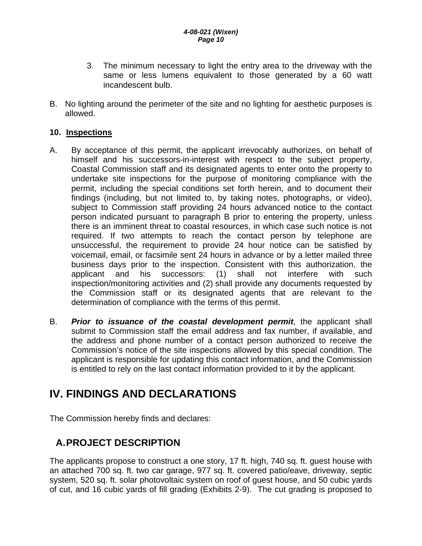- <span id="page-9-0"></span>3. The minimum necessary to light the entry area to the driveway with the same or less lumens equivalent to those generated by a 60 watt incandescent bulb.
- B. No lighting around the perimeter of the site and no lighting for aesthetic purposes is allowed.

### **10. Inspections**

- A. By acceptance of this permit, the applicant irrevocably authorizes, on behalf of himself and his successors-in-interest with respect to the subject property, Coastal Commission staff and its designated agents to enter onto the property to undertake site inspections for the purpose of monitoring compliance with the permit, including the special conditions set forth herein, and to document their findings (including, but not limited to, by taking notes, photographs, or video), subject to Commission staff providing 24 hours advanced notice to the contact person indicated pursuant to paragraph B prior to entering the property, unless there is an imminent threat to coastal resources, in which case such notice is not required. If two attempts to reach the contact person by telephone are unsuccessful, the requirement to provide 24 hour notice can be satisfied by voicemail, email, or facsimile sent 24 hours in advance or by a letter mailed three business days prior to the inspection. Consistent with this authorization, the applicant and his successors: (1) shall not interfere with such inspection/monitoring activities and (2) shall provide any documents requested by the Commission staff or its designated agents that are relevant to the determination of compliance with the terms of this permit.
- B. *Prior to issuance of the coastal development permit*, the applicant shall submit to Commission staff the email address and fax number, if available, and the address and phone number of a contact person authorized to receive the Commission's notice of the site inspections allowed by this special condition. The applicant is responsible for updating this contact information, and the Commission is entitled to rely on the last contact information provided to it by the applicant.

# **IV. FINDINGS AND DECLARATIONS**

The Commission hereby finds and declares:

# **A. PROJECT DESCRIPTION**

The applicants propose to construct a one story, 17 ft. high, 740 sq. ft. guest house with an attached 700 sq. ft. two car garage, 977 sq. ft. covered patio/eave, driveway, septic system, 520 sq. ft. solar photovoltaic system on roof of guest house, and 50 cubic yards of cut, and 16 cubic yards of fill grading (Exhibits 2-9). The cut grading is proposed to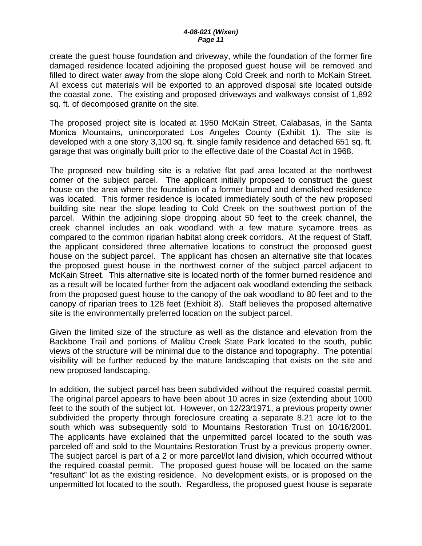create the guest house foundation and driveway, while the foundation of the former fire damaged residence located adjoining the proposed guest house will be removed and filled to direct water away from the slope along Cold Creek and north to McKain Street. All excess cut materials will be exported to an approved disposal site located outside the coastal zone. The existing and proposed driveways and walkways consist of 1,892 sq. ft. of decomposed granite on the site.

The proposed project site is located at 1950 McKain Street, Calabasas, in the Santa Monica Mountains, unincorporated Los Angeles County (Exhibit 1). The site is developed with a one story 3,100 sq. ft. single family residence and detached 651 sq. ft. garage that was originally built prior to the effective date of the Coastal Act in 1968.

The proposed new building site is a relative flat pad area located at the northwest corner of the subject parcel. The applicant initially proposed to construct the guest house on the area where the foundation of a former burned and demolished residence was located. This former residence is located immediately south of the new proposed building site near the slope leading to Cold Creek on the southwest portion of the parcel. Within the adjoining slope dropping about 50 feet to the creek channel, the creek channel includes an oak woodland with a few mature sycamore trees as compared to the common riparian habitat along creek corridors. At the request of Staff, the applicant considered three alternative locations to construct the proposed guest house on the subject parcel. The applicant has chosen an alternative site that locates the proposed guest house in the northwest corner of the subject parcel adjacent to McKain Street. This alternative site is located north of the former burned residence and as a result will be located further from the adjacent oak woodland extending the setback from the proposed guest house to the canopy of the oak woodland to 80 feet and to the canopy of riparian trees to 128 feet (Exhibit 8). Staff believes the proposed alternative site is the environmentally preferred location on the subject parcel.

Given the limited size of the structure as well as the distance and elevation from the Backbone Trail and portions of Malibu Creek State Park located to the south, public views of the structure will be minimal due to the distance and topography. The potential visibility will be further reduced by the mature landscaping that exists on the site and new proposed landscaping.

In addition, the subject parcel has been subdivided without the required coastal permit. The original parcel appears to have been about 10 acres in size (extending about 1000 feet to the south of the subject lot. However, on 12/23/1971, a previous property owner subdivided the property through foreclosure creating a separate 8.21 acre lot to the south which was subsequently sold to Mountains Restoration Trust on 10/16/2001. The applicants have explained that the unpermitted parcel located to the south was parceled off and sold to the Mountains Restoration Trust by a previous property owner. The subject parcel is part of a 2 or more parcel/lot land division, which occurred without the required coastal permit. The proposed guest house will be located on the same "resultant" lot as the existing residence. No development exists, or is proposed on the unpermitted lot located to the south. Regardless, the proposed guest house is separate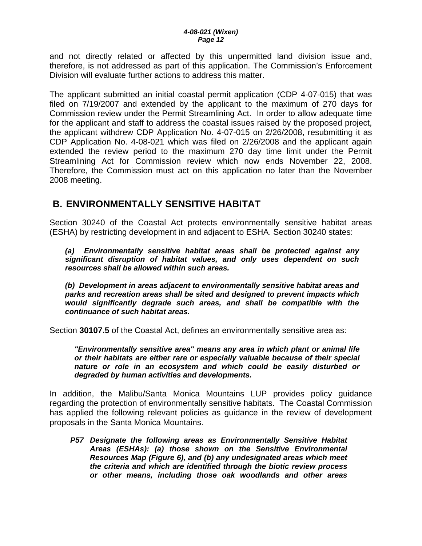<span id="page-11-0"></span>and not directly related or affected by this unpermitted land division issue and, therefore, is not addressed as part of this application. The Commission's Enforcement Division will evaluate further actions to address this matter.

The applicant submitted an initial coastal permit application (CDP 4-07-015) that was filed on 7/19/2007 and extended by the applicant to the maximum of 270 days for Commission review under the Permit Streamlining Act. In order to allow adequate time for the applicant and staff to address the coastal issues raised by the proposed project, the applicant withdrew CDP Application No. 4-07-015 on 2/26/2008, resubmitting it as CDP Application No. 4-08-021 which was filed on 2/26/2008 and the applicant again extended the review period to the maximum 270 day time limit under the Permit Streamlining Act for Commission review which now ends November 22, 2008. Therefore, the Commission must act on this application no later than the November 2008 meeting.

## **B. ENVIRONMENTALLY SENSITIVE HABITAT**

Section 30240 of the Coastal Act protects environmentally sensitive habitat areas (ESHA) by restricting development in and adjacent to ESHA. Section 30240 states:

*(a) Environmentally sensitive habitat areas shall be protected against any significant disruption of habitat values, and only uses dependent on such resources shall be allowed within such areas.* 

 *(b) Development in areas adjacent to environmentally sensitive habitat areas and parks and recreation areas shall be sited and designed to prevent impacts which would significantly degrade such areas, and shall be compatible with the continuance of such habitat areas.*

Section **30107.5** of the Coastal Act, defines an environmentally sensitive area as:

*"Environmentally sensitive area" means any area in which plant or animal life or their habitats are either rare or especially valuable because of their special nature or role in an ecosystem and which could be easily disturbed or degraded by human activities and developments.* 

In addition, the Malibu/Santa Monica Mountains LUP provides policy guidance regarding the protection of environmentally sensitive habitats. The Coastal Commission has applied the following relevant policies as guidance in the review of development proposals in the Santa Monica Mountains.

*P57 Designate the following areas as Environmentally Sensitive Habitat Areas (ESHAs): (a) those shown on the Sensitive Environmental Resources Map (Figure 6), and (b) any undesignated areas which meet the criteria and which are identified through the biotic review process or other means, including those oak woodlands and other areas*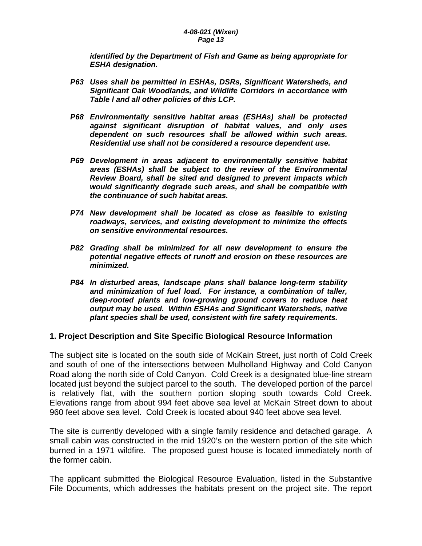*identified by the Department of Fish and Game as being appropriate for ESHA designation.* 

- *P63 Uses shall be permitted in ESHAs, DSRs, Significant Watersheds, and Significant Oak Woodlands, and Wildlife Corridors in accordance with Table l and all other policies of this LCP.*
- *P68 Environmentally sensitive habitat areas (ESHAs) shall be protected against significant disruption of habitat values, and only uses dependent on such resources shall be allowed within such areas. Residential use shall not be considered a resource dependent use.*
- *P69 Development in areas adjacent to environmentally sensitive habitat areas (ESHAs) shall be subject to the review of the Environmental Review Board, shall be sited and designed to prevent impacts which would significantly degrade such areas, and shall be compatible with the continuance of such habitat areas.*
- *P74 New development shall be located as close as feasible to existing roadways, services, and existing development to minimize the effects on sensitive environmental resources.*
- *P82 Grading shall be minimized for all new development to ensure the potential negative effects of runoff and erosion on these resources are minimized.*
- *P84 In disturbed areas, landscape plans shall balance long-term stability and minimization of fuel load. For instance, a combination of taller, deep-rooted plants and low-growing ground covers to reduce heat output may be used. Within ESHAs and Significant Watersheds, native plant species shall be used, consistent with fire safety requirements.*

#### **1. Project Description and Site Specific Biological Resource Information**

The subject site is located on the south side of McKain Street, just north of Cold Creek and south of one of the intersections between Mulholland Highway and Cold Canyon Road along the north side of Cold Canyon. Cold Creek is a designated blue-line stream located just beyond the subject parcel to the south. The developed portion of the parcel is relatively flat, with the southern portion sloping south towards Cold Creek. Elevations range from about 994 feet above sea level at McKain Street down to about 960 feet above sea level. Cold Creek is located about 940 feet above sea level.

The site is currently developed with a single family residence and detached garage. A small cabin was constructed in the mid 1920's on the western portion of the site which burned in a 1971 wildfire. The proposed guest house is located immediately north of the former cabin.

The applicant submitted the Biological Resource Evaluation, listed in the Substantive File Documents, which addresses the habitats present on the project site. The report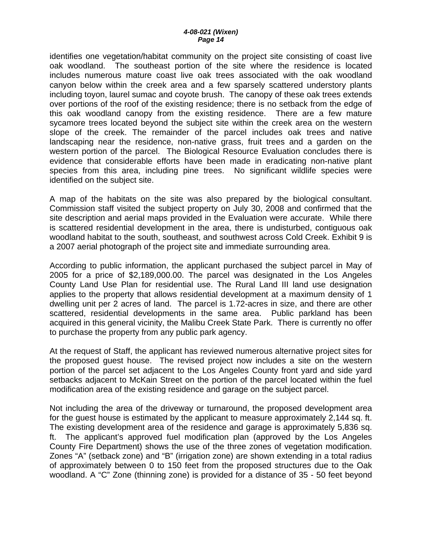identifies one vegetation/habitat community on the project site consisting of coast live oak woodland. The southeast portion of the site where the residence is located includes numerous mature coast live oak trees associated with the oak woodland canyon below within the creek area and a few sparsely scattered understory plants including toyon, laurel sumac and coyote brush. The canopy of these oak trees extends over portions of the roof of the existing residence; there is no setback from the edge of this oak woodland canopy from the existing residence. There are a few mature sycamore trees located beyond the subject site within the creek area on the western slope of the creek. The remainder of the parcel includes oak trees and native landscaping near the residence, non-native grass, fruit trees and a garden on the western portion of the parcel. The Biological Resource Evaluation concludes there is evidence that considerable efforts have been made in eradicating non-native plant species from this area, including pine trees. No significant wildlife species were identified on the subject site.

A map of the habitats on the site was also prepared by the biological consultant. Commission staff visited the subject property on July 30, 2008 and confirmed that the site description and aerial maps provided in the Evaluation were accurate. While there is scattered residential development in the area, there is undisturbed, contiguous oak woodland habitat to the south, southeast, and southwest across Cold Creek. Exhibit 9 is a 2007 aerial photograph of the project site and immediate surrounding area.

According to public information, the applicant purchased the subject parcel in May of 2005 for a price of \$2,189,000.00. The parcel was designated in the Los Angeles County Land Use Plan for residential use. The Rural Land III land use designation applies to the property that allows residential development at a maximum density of 1 dwelling unit per 2 acres of land. The parcel is 1.72-acres in size, and there are other scattered, residential developments in the same area. Public parkland has been acquired in this general vicinity, the Malibu Creek State Park. There is currently no offer to purchase the property from any public park agency.

At the request of Staff, the applicant has reviewed numerous alternative project sites for the proposed guest house. The revised project now includes a site on the western portion of the parcel set adjacent to the Los Angeles County front yard and side yard setbacks adjacent to McKain Street on the portion of the parcel located within the fuel modification area of the existing residence and garage on the subject parcel.

Not including the area of the driveway or turnaround, the proposed development area for the guest house is estimated by the applicant to measure approximately 2,144 sq. ft. The existing development area of the residence and garage is approximately 5,836 sq. ft. The applicant's approved fuel modification plan (approved by the Los Angeles County Fire Department) shows the use of the three zones of vegetation modification. Zones "A" (setback zone) and "B" (irrigation zone) are shown extending in a total radius of approximately between 0 to 150 feet from the proposed structures due to the Oak woodland. A "C" Zone (thinning zone) is provided for a distance of 35 - 50 feet beyond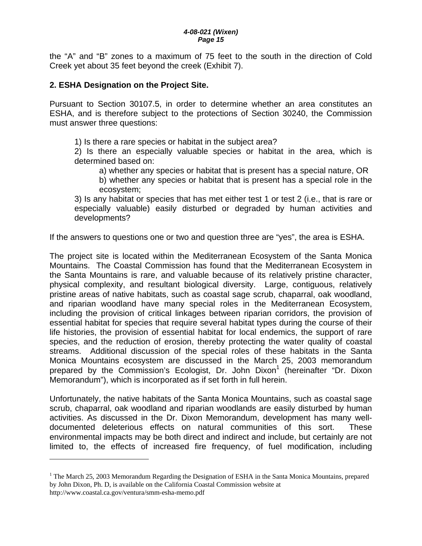the "A" and "B" zones to a maximum of 75 feet to the south in the direction of Cold Creek yet about 35 feet beyond the creek (Exhibit 7).

#### **2. ESHA Designation on the Project Site.**

 $\overline{a}$ 

Pursuant to Section 30107.5, in order to determine whether an area constitutes an ESHA, and is therefore subject to the protections of Section 30240, the Commission must answer three questions:

1) Is there a rare species or habitat in the subject area?

2) Is there an especially valuable species or habitat in the area, which is determined based on:

a) whether any species or habitat that is present has a special nature, OR

b) whether any species or habitat that is present has a special role in the ecosystem;

3) Is any habitat or species that has met either test 1 or test 2 (i.e., that is rare or especially valuable) easily disturbed or degraded by human activities and developments?

If the answers to questions one or two and question three are "yes", the area is ESHA.

The project site is located within the Mediterranean Ecosystem of the Santa Monica Mountains. The Coastal Commission has found that the Mediterranean Ecosystem in the Santa Mountains is rare, and valuable because of its relatively pristine character, physical complexity, and resultant biological diversity. Large, contiguous, relatively pristine areas of native habitats, such as coastal sage scrub, chaparral, oak woodland, and riparian woodland have many special roles in the Mediterranean Ecosystem, including the provision of critical linkages between riparian corridors, the provision of essential habitat for species that require several habitat types during the course of their life histories, the provision of essential habitat for local endemics, the support of rare species, and the reduction of erosion, thereby protecting the water quality of coastal streams. Additional discussion of the special roles of these habitats in the Santa Monica Mountains ecosystem are discussed in the March 25, 2003 memorandum prepared by the Commission's Ecologist, Dr. John Dixon<sup>[1](#page-14-0)</sup> (hereinafter "Dr. Dixon Memorandum"), which is incorporated as if set forth in full herein.

Unfortunately, the native habitats of the Santa Monica Mountains, such as coastal sage scrub, chaparral, oak woodland and riparian woodlands are easily disturbed by human activities. As discussed in the Dr. Dixon Memorandum, development has many welldocumented deleterious effects on natural communities of this sort. These environmental impacts may be both direct and indirect and include, but certainly are not limited to, the effects of increased fire frequency, of fuel modification, including

<span id="page-14-0"></span><sup>&</sup>lt;sup>1</sup> The March 25, 2003 Memorandum Regarding the Designation of ESHA in the Santa Monica Mountains, prepared by John Dixon, Ph. D, is available on the California Coastal Commission website at http://www.coastal.ca.gov/ventura/smm-esha-memo.pdf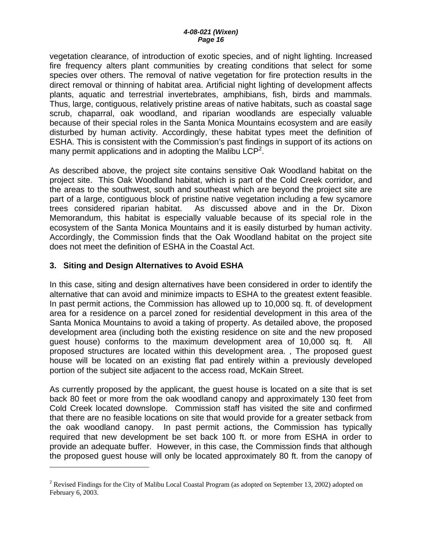vegetation clearance, of introduction of exotic species, and of night lighting. Increased fire frequency alters plant communities by creating conditions that select for some species over others. The removal of native vegetation for fire protection results in the direct removal or thinning of habitat area. Artificial night lighting of development affects plants, aquatic and terrestrial invertebrates, amphibians, fish, birds and mammals. Thus, large, contiguous, relatively pristine areas of native habitats, such as coastal sage scrub, chaparral, oak woodland, and riparian woodlands are especially valuable because of their special roles in the Santa Monica Mountains ecosystem and are easily disturbed by human activity. Accordingly, these habitat types meet the definition of ESHA. This is consistent with the Commission's past findings in support of its actions on many permit applications and in adopting the Malibu LCP<sup>2</sup>.

As described above, the project site contains sensitive Oak Woodland habitat on the project site. This Oak Woodland habitat, which is part of the Cold Creek corridor, and the areas to the southwest, south and southeast which are beyond the project site are part of a large, contiguous block of pristine native vegetation including a few sycamore trees considered riparian habitat. As discussed above and in the Dr. Dixon Memorandum, this habitat is especially valuable because of its special role in the ecosystem of the Santa Monica Mountains and it is easily disturbed by human activity. Accordingly, the Commission finds that the Oak Woodland habitat on the project site does not meet the definition of ESHA in the Coastal Act.

## **3. Siting and Design Alternatives to Avoid ESHA**

 $\overline{a}$ 

In this case, siting and design alternatives have been considered in order to identify the alternative that can avoid and minimize impacts to ESHA to the greatest extent feasible. In past permit actions, the Commission has allowed up to 10,000 sq. ft. of development area for a residence on a parcel zoned for residential development in this area of the Santa Monica Mountains to avoid a taking of property. As detailed above, the proposed development area (including both the existing residence on site and the new proposed guest house) conforms to the maximum development area of 10,000 sq. ft. All proposed structures are located within this development area. , The proposed guest house will be located on an existing flat pad entirely within a previously developed portion of the subject site adjacent to the access road, McKain Street.

As currently proposed by the applicant, the guest house is located on a site that is set back 80 feet or more from the oak woodland canopy and approximately 130 feet from Cold Creek located downslope. Commission staff has visited the site and confirmed that there are no feasible locations on site that would provide for a greater setback from the oak woodland canopy. In past permit actions, the Commission has typically required that new development be set back 100 ft. or more from ESHA in order to provide an adequate buffer. However, in this case, the Commission finds that although the proposed guest house will only be located approximately 80 ft. from the canopy of

<span id="page-15-0"></span><sup>&</sup>lt;sup>2</sup> Revised Findings for the City of Malibu Local Coastal Program (as adopted on September 13, 2002) adopted on February 6, 2003.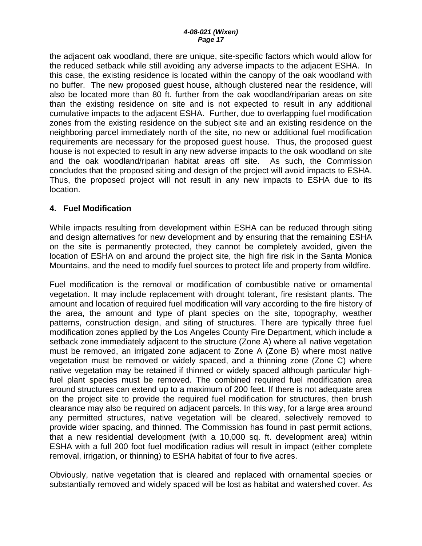the adjacent oak woodland, there are unique, site-specific factors which would allow for the reduced setback while still avoiding any adverse impacts to the adjacent ESHA. In this case, the existing residence is located within the canopy of the oak woodland with no buffer. The new proposed guest house, although clustered near the residence, will also be located more than 80 ft. further from the oak woodland/riparian areas on site than the existing residence on site and is not expected to result in any additional cumulative impacts to the adjacent ESHA. Further, due to overlapping fuel modification zones from the existing residence on the subject site and an existing residence on the neighboring parcel immediately north of the site, no new or additional fuel modification requirements are necessary for the proposed guest house. Thus, the proposed guest house is not expected to result in any new adverse impacts to the oak woodland on site and the oak woodland/riparian habitat areas off site. As such, the Commission concludes that the proposed siting and design of the project will avoid impacts to ESHA. Thus, the proposed project will not result in any new impacts to ESHA due to its location.

### **4. Fuel Modification**

While impacts resulting from development within ESHA can be reduced through siting and design alternatives for new development and by ensuring that the remaining ESHA on the site is permanently protected, they cannot be completely avoided, given the location of ESHA on and around the project site, the high fire risk in the Santa Monica Mountains, and the need to modify fuel sources to protect life and property from wildfire.

Fuel modification is the removal or modification of combustible native or ornamental vegetation. It may include replacement with drought tolerant, fire resistant plants. The amount and location of required fuel modification will vary according to the fire history of the area, the amount and type of plant species on the site, topography, weather patterns, construction design, and siting of structures. There are typically three fuel modification zones applied by the Los Angeles County Fire Department, which include a setback zone immediately adjacent to the structure (Zone A) where all native vegetation must be removed, an irrigated zone adjacent to Zone A (Zone B) where most native vegetation must be removed or widely spaced, and a thinning zone (Zone C) where native vegetation may be retained if thinned or widely spaced although particular highfuel plant species must be removed. The combined required fuel modification area around structures can extend up to a maximum of 200 feet. If there is not adequate area on the project site to provide the required fuel modification for structures, then brush clearance may also be required on adjacent parcels. In this way, for a large area around any permitted structures, native vegetation will be cleared, selectively removed to provide wider spacing, and thinned. The Commission has found in past permit actions, that a new residential development (with a 10,000 sq. ft. development area) within ESHA with a full 200 foot fuel modification radius will result in impact (either complete removal, irrigation, or thinning) to ESHA habitat of four to five acres.

Obviously, native vegetation that is cleared and replaced with ornamental species or substantially removed and widely spaced will be lost as habitat and watershed cover. As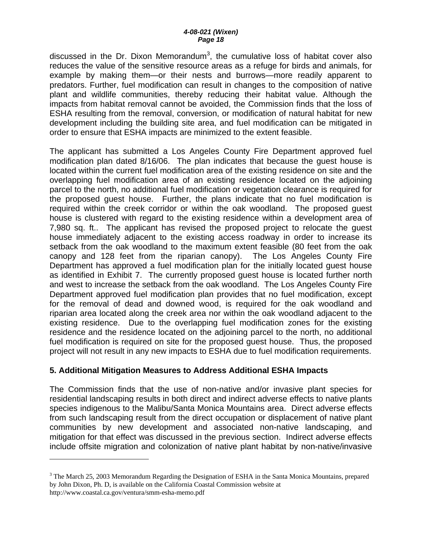discussed in the Dr. Dixon Memorandum<sup>[3](#page-17-0)</sup>, the cumulative loss of habitat cover also reduces the value of the sensitive resource areas as a refuge for birds and animals, for example by making them—or their nests and burrows—more readily apparent to predators. Further, fuel modification can result in changes to the composition of native plant and wildlife communities, thereby reducing their habitat value. Although the impacts from habitat removal cannot be avoided, the Commission finds that the loss of ESHA resulting from the removal, conversion, or modification of natural habitat for new development including the building site area, and fuel modification can be mitigated in order to ensure that ESHA impacts are minimized to the extent feasible.

The applicant has submitted a Los Angeles County Fire Department approved fuel modification plan dated 8/16/06. The plan indicates that because the guest house is located within the current fuel modification area of the existing residence on site and the overlapping fuel modification area of an existing residence located on the adjoining parcel to the north, no additional fuel modification or vegetation clearance is required for the proposed guest house. Further, the plans indicate that no fuel modification is required within the creek corridor or within the oak woodland. The proposed guest house is clustered with regard to the existing residence within a development area of 7,980 sq. ft.. The applicant has revised the proposed project to relocate the guest house immediately adjacent to the existing access roadway in order to increase its setback from the oak woodland to the maximum extent feasible (80 feet from the oak canopy and 128 feet from the riparian canopy). The Los Angeles County Fire Department has approved a fuel modification plan for the initially located guest house as identified in Exhibit 7. The currently proposed guest house is located further north and west to increase the setback from the oak woodland. The Los Angeles County Fire Department approved fuel modification plan provides that no fuel modification, except for the removal of dead and downed wood, is required for the oak woodland and riparian area located along the creek area nor within the oak woodland adjacent to the existing residence. Due to the overlapping fuel modification zones for the existing residence and the residence located on the adjoining parcel to the north, no additional fuel modification is required on site for the proposed guest house. Thus, the proposed project will not result in any new impacts to ESHA due to fuel modification requirements.

### **5. Additional Mitigation Measures to Address Additional ESHA Impacts**

 $\overline{a}$ 

The Commission finds that the use of non-native and/or invasive plant species for residential landscaping results in both direct and indirect adverse effects to native plants species indigenous to the Malibu/Santa Monica Mountains area. Direct adverse effects from such landscaping result from the direct occupation or displacement of native plant communities by new development and associated non-native landscaping, and mitigation for that effect was discussed in the previous section. Indirect adverse effects include offsite migration and colonization of native plant habitat by non-native/invasive

<span id="page-17-0"></span><sup>&</sup>lt;sup>3</sup> The March 25, 2003 Memorandum Regarding the Designation of ESHA in the Santa Monica Mountains, prepared by John Dixon, Ph. D, is available on the California Coastal Commission website at http://www.coastal.ca.gov/ventura/smm-esha-memo.pdf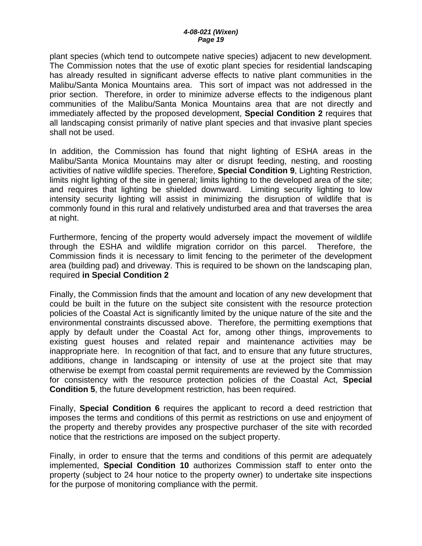plant species (which tend to outcompete native species) adjacent to new development. The Commission notes that the use of exotic plant species for residential landscaping has already resulted in significant adverse effects to native plant communities in the Malibu/Santa Monica Mountains area. This sort of impact was not addressed in the prior section. Therefore, in order to minimize adverse effects to the indigenous plant communities of the Malibu/Santa Monica Mountains area that are not directly and immediately affected by the proposed development, **Special Condition 2** requires that all landscaping consist primarily of native plant species and that invasive plant species shall not be used.

In addition, the Commission has found that night lighting of ESHA areas in the Malibu/Santa Monica Mountains may alter or disrupt feeding, nesting, and roosting activities of native wildlife species. Therefore, **Special Condition 9**, Lighting Restriction, limits night lighting of the site in general; limits lighting to the developed area of the site; and requires that lighting be shielded downward. Limiting security lighting to low intensity security lighting will assist in minimizing the disruption of wildlife that is commonly found in this rural and relatively undisturbed area and that traverses the area at night.

Furthermore, fencing of the property would adversely impact the movement of wildlife through the ESHA and wildlife migration corridor on this parcel. Therefore, the Commission finds it is necessary to limit fencing to the perimeter of the development area (building pad) and driveway. This is required to be shown on the landscaping plan, required **in Special Condition 2**

Finally, the Commission finds that the amount and location of any new development that could be built in the future on the subject site consistent with the resource protection policies of the Coastal Act is significantly limited by the unique nature of the site and the environmental constraints discussed above. Therefore, the permitting exemptions that apply by default under the Coastal Act for, among other things, improvements to existing guest houses and related repair and maintenance activities may be inappropriate here. In recognition of that fact, and to ensure that any future structures, additions, change in landscaping or intensity of use at the project site that may otherwise be exempt from coastal permit requirements are reviewed by the Commission for consistency with the resource protection policies of the Coastal Act, **Special Condition 5**, the future development restriction, has been required.

Finally, **Special Condition 6** requires the applicant to record a deed restriction that imposes the terms and conditions of this permit as restrictions on use and enjoyment of the property and thereby provides any prospective purchaser of the site with recorded notice that the restrictions are imposed on the subject property.

Finally, in order to ensure that the terms and conditions of this permit are adequately implemented, **Special Condition 10** authorizes Commission staff to enter onto the property (subject to 24 hour notice to the property owner) to undertake site inspections for the purpose of monitoring compliance with the permit.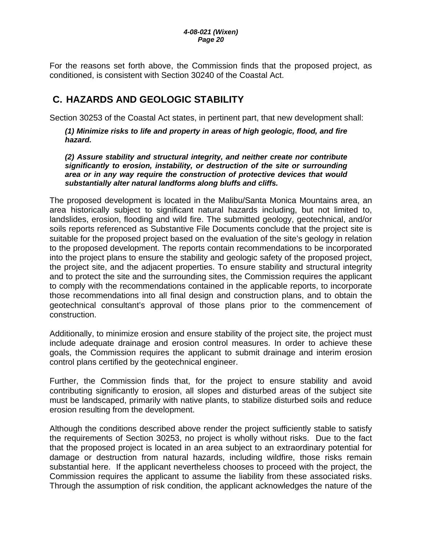<span id="page-19-0"></span>For the reasons set forth above, the Commission finds that the proposed project, as conditioned, is consistent with Section 30240 of the Coastal Act.

# **C. HAZARDS AND GEOLOGIC STABILITY**

Section 30253 of the Coastal Act states, in pertinent part, that new development shall:

*(1) Minimize risks to life and property in areas of high geologic, flood, and fire hazard.* 

*(2) Assure stability and structural integrity, and neither create nor contribute significantly to erosion, instability, or destruction of the site or surrounding area or in any way require the construction of protective devices that would substantially alter natural landforms along bluffs and cliffs.* 

The proposed development is located in the Malibu/Santa Monica Mountains area, an area historically subject to significant natural hazards including, but not limited to, landslides, erosion, flooding and wild fire. The submitted geology, geotechnical, and/or soils reports referenced as Substantive File Documents conclude that the project site is suitable for the proposed project based on the evaluation of the site's geology in relation to the proposed development. The reports contain recommendations to be incorporated into the project plans to ensure the stability and geologic safety of the proposed project, the project site, and the adjacent properties. To ensure stability and structural integrity and to protect the site and the surrounding sites, the Commission requires the applicant to comply with the recommendations contained in the applicable reports, to incorporate those recommendations into all final design and construction plans, and to obtain the geotechnical consultant's approval of those plans prior to the commencement of construction.

Additionally, to minimize erosion and ensure stability of the project site, the project must include adequate drainage and erosion control measures. In order to achieve these goals, the Commission requires the applicant to submit drainage and interim erosion control plans certified by the geotechnical engineer.

Further, the Commission finds that, for the project to ensure stability and avoid contributing significantly to erosion, all slopes and disturbed areas of the subject site must be landscaped, primarily with native plants, to stabilize disturbed soils and reduce erosion resulting from the development.

Although the conditions described above render the project sufficiently stable to satisfy the requirements of Section 30253, no project is wholly without risks. Due to the fact that the proposed project is located in an area subject to an extraordinary potential for damage or destruction from natural hazards, including wildfire, those risks remain substantial here. If the applicant nevertheless chooses to proceed with the project, the Commission requires the applicant to assume the liability from these associated risks. Through the assumption of risk condition, the applicant acknowledges the nature of the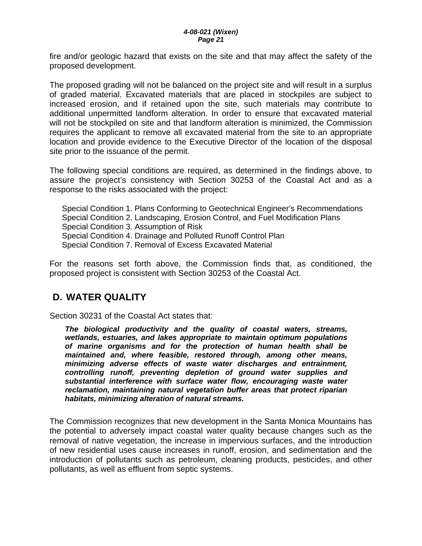<span id="page-20-0"></span>fire and/or geologic hazard that exists on the site and that may affect the safety of the proposed development.

The proposed grading will not be balanced on the project site and will result in a surplus of graded material. Excavated materials that are placed in stockpiles are subject to increased erosion, and if retained upon the site, such materials may contribute to additional unpermitted landform alteration. In order to ensure that excavated material will not be stockpiled on site and that landform alteration is minimized, the Commission requires the applicant to remove all excavated material from the site to an appropriate location and provide evidence to the Executive Director of the location of the disposal site prior to the issuance of the permit.

The following special conditions are required, as determined in the findings above, to assure the project's consistency with Section 30253 of the Coastal Act and as a response to the risks associated with the project:

Special Condition 1. Plans Conforming to Geotechnical Engineer's Recommendations Special Condition 2. Landscaping, Erosion Control, and Fuel Modification Plans Special Condition 3. Assumption of Risk Special Condition 4. Drainage and Polluted Runoff Control Plan Special Condition 7. Removal of Excess Excavated Material

For the reasons set forth above, the Commission finds that, as conditioned, the proposed project is consistent with Section 30253 of the Coastal Act.

## **D. WATER QUALITY**

Section 30231 of the Coastal Act states that:

*The biological productivity and the quality of coastal waters, streams, wetlands, estuaries, and lakes appropriate to maintain optimum populations of marine organisms and for the protection of human health shall be maintained and, where feasible, restored through, among other means, minimizing adverse effects of waste water discharges and entrainment, controlling runoff, preventing depletion of ground water supplies and substantial interference with surface water flow, encouraging waste water reclamation, maintaining natural vegetation buffer areas that protect riparian habitats, minimizing alteration of natural streams.* 

The Commission recognizes that new development in the Santa Monica Mountains has the potential to adversely impact coastal water quality because changes such as the removal of native vegetation, the increase in impervious surfaces, and the introduction of new residential uses cause increases in runoff, erosion, and sedimentation and the introduction of pollutants such as petroleum, cleaning products, pesticides, and other pollutants, as well as effluent from septic systems.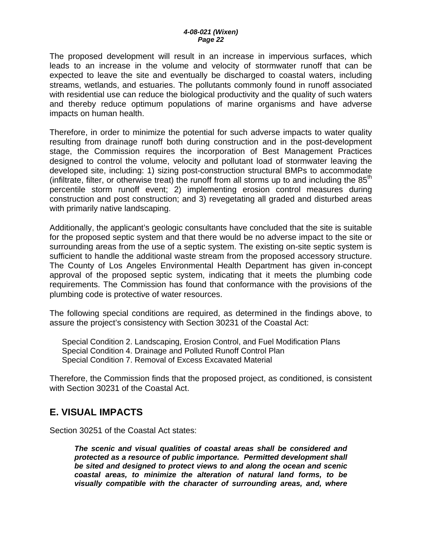<span id="page-21-0"></span>The proposed development will result in an increase in impervious surfaces, which leads to an increase in the volume and velocity of stormwater runoff that can be expected to leave the site and eventually be discharged to coastal waters, including streams, wetlands, and estuaries. The pollutants commonly found in runoff associated with residential use can reduce the biological productivity and the quality of such waters and thereby reduce optimum populations of marine organisms and have adverse impacts on human health.

Therefore, in order to minimize the potential for such adverse impacts to water quality resulting from drainage runoff both during construction and in the post-development stage, the Commission requires the incorporation of Best Management Practices designed to control the volume, velocity and pollutant load of stormwater leaving the developed site, including: 1) sizing post-construction structural BMPs to accommodate (infiltrate, filter, or otherwise treat) the runoff from all storms up to and including the  $85<sup>th</sup>$ percentile storm runoff event; 2) implementing erosion control measures during construction and post construction; and 3) revegetating all graded and disturbed areas with primarily native landscaping.

Additionally, the applicant's geologic consultants have concluded that the site is suitable for the proposed septic system and that there would be no adverse impact to the site or surrounding areas from the use of a septic system. The existing on-site septic system is sufficient to handle the additional waste stream from the proposed accessory structure. The County of Los Angeles Environmental Health Department has given in-concept approval of the proposed septic system, indicating that it meets the plumbing code requirements. The Commission has found that conformance with the provisions of the plumbing code is protective of water resources.

The following special conditions are required, as determined in the findings above, to assure the project's consistency with Section 30231 of the Coastal Act:

Special Condition 2. Landscaping, Erosion Control, and Fuel Modification Plans Special Condition 4. Drainage and Polluted Runoff Control Plan Special Condition 7. Removal of Excess Excavated Material

Therefore, the Commission finds that the proposed project, as conditioned, is consistent with Section 30231 of the Coastal Act.

## **E. VISUAL IMPACTS**

Section 30251 of the Coastal Act states:

*The scenic and visual qualities of coastal areas shall be considered and protected as a resource of public importance. Permitted development shall be sited and designed to protect views to and along the ocean and scenic coastal areas, to minimize the alteration of natural land forms, to be visually compatible with the character of surrounding areas, and, where*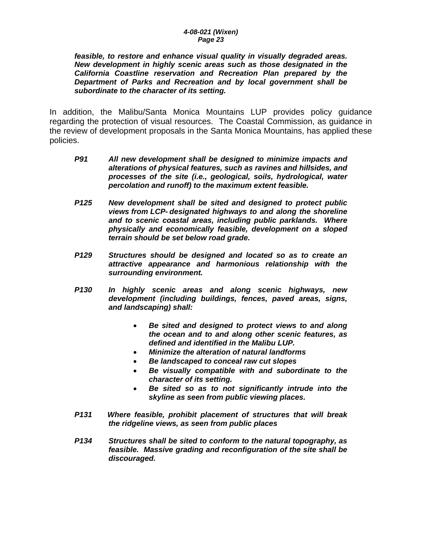*feasible, to restore and enhance visual quality in visually degraded areas. New development in highly scenic areas such as those designated in the California Coastline reservation and Recreation Plan prepared by the Department of Parks and Recreation and by local government shall be subordinate to the character of its setting.* 

In addition, the Malibu/Santa Monica Mountains LUP provides policy guidance regarding the protection of visual resources. The Coastal Commission, as guidance in the review of development proposals in the Santa Monica Mountains, has applied these policies.

- *P91 All new development shall be designed to minimize impacts and alterations of physical features, such as ravines and hillsides, and processes of the site (i.e., geological, soils, hydrological, water percolation and runoff) to the maximum extent feasible.*
- *P125 New development shall be sited and designed to protect public views from LCP- designated highways to and along the shoreline and to scenic coastal areas, including public parklands. Where physically and economically feasible, development on a sloped terrain should be set below road grade.*
- *P129 Structures should be designed and located so as to create an attractive appearance and harmonious relationship with the surrounding environment.*
- *P130 In highly scenic areas and along scenic highways, new development (including buildings, fences, paved areas, signs, and landscaping) shall:* 
	- *Be sited and designed to protect views to and along the ocean and to and along other scenic features, as defined and identified in the Malibu LUP.*
	- *Minimize the alteration of natural landforms*
	- *Be landscaped to conceal raw cut slopes*
	- *Be visually compatible with and subordinate to the character of its setting.*
	- *Be sited so as to not significantly intrude into the skyline as seen from public viewing places.*
- *P131 Where feasible, prohibit placement of structures that will break the ridgeline views, as seen from public places*
- *P134 Structures shall be sited to conform to the natural topography, as feasible. Massive grading and reconfiguration of the site shall be discouraged.*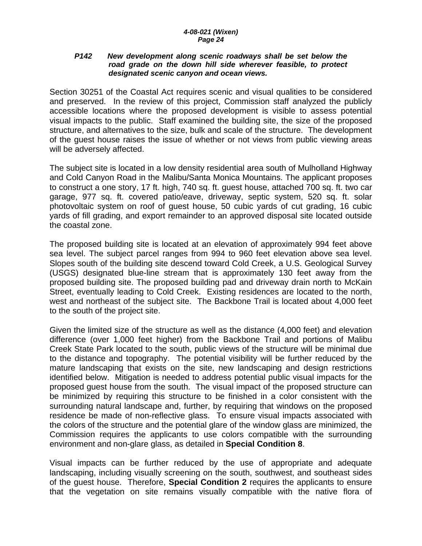#### *P142 New development along scenic roadways shall be set below the road grade on the down hill side wherever feasible, to protect designated scenic canyon and ocean views.*

Section 30251 of the Coastal Act requires scenic and visual qualities to be considered and preserved. In the review of this project, Commission staff analyzed the publicly accessible locations where the proposed development is visible to assess potential visual impacts to the public. Staff examined the building site, the size of the proposed structure, and alternatives to the size, bulk and scale of the structure. The development of the guest house raises the issue of whether or not views from public viewing areas will be adversely affected.

The subject site is located in a low density residential area south of Mulholland Highway and Cold Canyon Road in the Malibu/Santa Monica Mountains. The applicant proposes to construct a one story, 17 ft. high, 740 sq. ft. guest house, attached 700 sq. ft. two car garage, 977 sq. ft. covered patio/eave, driveway, septic system, 520 sq. ft. solar photovoltaic system on roof of guest house, 50 cubic yards of cut grading, 16 cubic yards of fill grading, and export remainder to an approved disposal site located outside the coastal zone.

The proposed building site is located at an elevation of approximately 994 feet above sea level. The subject parcel ranges from 994 to 960 feet elevation above sea level. Slopes south of the building site descend toward Cold Creek, a U.S. Geological Survey (USGS) designated blue-line stream that is approximately 130 feet away from the proposed building site. The proposed building pad and driveway drain north to McKain Street, eventually leading to Cold Creek. Existing residences are located to the north, west and northeast of the subject site. The Backbone Trail is located about 4,000 feet to the south of the project site.

Given the limited size of the structure as well as the distance (4,000 feet) and elevation difference (over 1,000 feet higher) from the Backbone Trail and portions of Malibu Creek State Park located to the south, public views of the structure will be minimal due to the distance and topography. The potential visibility will be further reduced by the mature landscaping that exists on the site, new landscaping and design restrictions identified below. Mitigation is needed to address potential public visual impacts for the proposed guest house from the south. The visual impact of the proposed structure can be minimized by requiring this structure to be finished in a color consistent with the surrounding natural landscape and, further, by requiring that windows on the proposed residence be made of non-reflective glass. To ensure visual impacts associated with the colors of the structure and the potential glare of the window glass are minimized, the Commission requires the applicants to use colors compatible with the surrounding environment and non-glare glass, as detailed in **Special Condition 8**.

Visual impacts can be further reduced by the use of appropriate and adequate landscaping, including visually screening on the south, southwest, and southeast sides of the guest house. Therefore, **Special Condition 2** requires the applicants to ensure that the vegetation on site remains visually compatible with the native flora of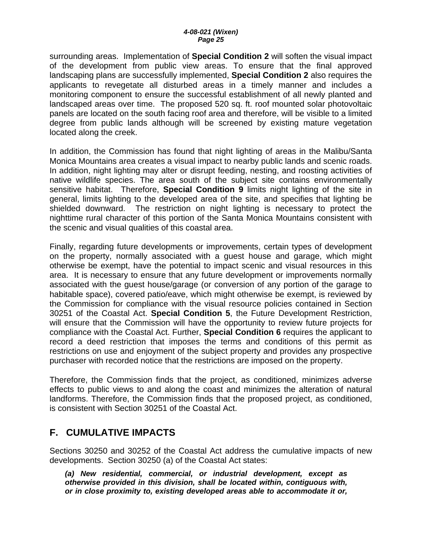<span id="page-24-0"></span>surrounding areas. Implementation of **Special Condition 2** will soften the visual impact of the development from public view areas. To ensure that the final approved landscaping plans are successfully implemented, **Special Condition 2** also requires the applicants to revegetate all disturbed areas in a timely manner and includes a monitoring component to ensure the successful establishment of all newly planted and landscaped areas over time. The proposed 520 sq. ft. roof mounted solar photovoltaic panels are located on the south facing roof area and therefore, will be visible to a limited degree from public lands although will be screened by existing mature vegetation located along the creek.

In addition, the Commission has found that night lighting of areas in the Malibu/Santa Monica Mountains area creates a visual impact to nearby public lands and scenic roads. In addition, night lighting may alter or disrupt feeding, nesting, and roosting activities of native wildlife species. The area south of the subject site contains environmentally sensitive habitat. Therefore, **Special Condition 9** limits night lighting of the site in general, limits lighting to the developed area of the site, and specifies that lighting be shielded downward. The restriction on night lighting is necessary to protect the nighttime rural character of this portion of the Santa Monica Mountains consistent with the scenic and visual qualities of this coastal area.

Finally, regarding future developments or improvements, certain types of development on the property, normally associated with a guest house and garage, which might otherwise be exempt, have the potential to impact scenic and visual resources in this area. It is necessary to ensure that any future development or improvements normally associated with the guest house/garage (or conversion of any portion of the garage to habitable space), covered patio/eave, which might otherwise be exempt, is reviewed by the Commission for compliance with the visual resource policies contained in Section 30251 of the Coastal Act. **Special Condition 5**, the Future Development Restriction, will ensure that the Commission will have the opportunity to review future projects for compliance with the Coastal Act. Further, **Special Condition 6** requires the applicant to record a deed restriction that imposes the terms and conditions of this permit as restrictions on use and enjoyment of the subject property and provides any prospective purchaser with recorded notice that the restrictions are imposed on the property.

Therefore, the Commission finds that the project, as conditioned, minimizes adverse effects to public views to and along the coast and minimizes the alteration of natural landforms. Therefore, the Commission finds that the proposed project, as conditioned, is consistent with Section 30251 of the Coastal Act.

## **F. CUMULATIVE IMPACTS**

Sections 30250 and 30252 of the Coastal Act address the cumulative impacts of new developments. Section 30250 (a) of the Coastal Act states:

*(a) New residential, commercial, or industrial development, except as otherwise provided in this division, shall be located within, contiguous with, or in close proximity to, existing developed areas able to accommodate it or,*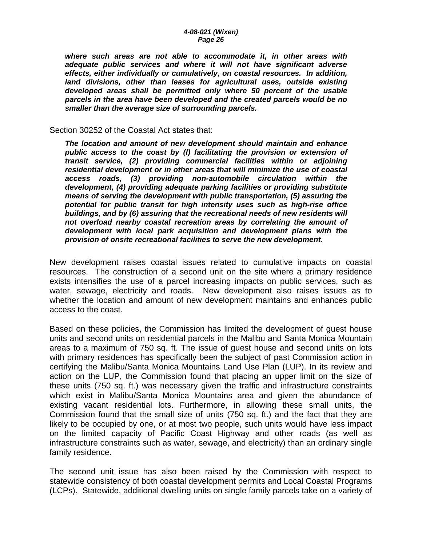*where such areas are not able to accommodate it, in other areas with adequate public services and where it will not have significant adverse effects, either individually or cumulatively, on coastal resources. In addition, land divisions, other than leases for agricultural uses, outside existing developed areas shall be permitted only where 50 percent of the usable parcels in the area have been developed and the created parcels would be no smaller than the average size of surrounding parcels.* 

Section 30252 of the Coastal Act states that:

*The location and amount of new development should maintain and enhance public access to the coast by (l) facilitating the provision or extension of transit service, (2) providing commercial facilities within or adjoining residential development or in other areas that will minimize the use of coastal access roads, (3) providing non-automobile circulation within the development, (4) providing adequate parking facilities or providing substitute means of serving the development with public transportation, (5) assuring the potential for public transit for high intensity uses such as high-rise office buildings, and by (6) assuring that the recreational needs of new residents will not overload nearby coastal recreation areas by correlating the amount of development with local park acquisition and development plans with the provision of onsite recreational facilities to serve the new development.* 

New development raises coastal issues related to cumulative impacts on coastal resources. The construction of a second unit on the site where a primary residence exists intensifies the use of a parcel increasing impacts on public services, such as water, sewage, electricity and roads. New development also raises issues as to whether the location and amount of new development maintains and enhances public access to the coast.

Based on these policies, the Commission has limited the development of guest house units and second units on residential parcels in the Malibu and Santa Monica Mountain areas to a maximum of 750 sq. ft. The issue of guest house and second units on lots with primary residences has specifically been the subject of past Commission action in certifying the Malibu/Santa Monica Mountains Land Use Plan (LUP). In its review and action on the LUP, the Commission found that placing an upper limit on the size of these units (750 sq. ft.) was necessary given the traffic and infrastructure constraints which exist in Malibu/Santa Monica Mountains area and given the abundance of existing vacant residential lots. Furthermore, in allowing these small units, the Commission found that the small size of units (750 sq. ft.) and the fact that they are likely to be occupied by one, or at most two people, such units would have less impact on the limited capacity of Pacific Coast Highway and other roads (as well as infrastructure constraints such as water, sewage, and electricity) than an ordinary single family residence.

The second unit issue has also been raised by the Commission with respect to statewide consistency of both coastal development permits and Local Coastal Programs (LCPs). Statewide, additional dwelling units on single family parcels take on a variety of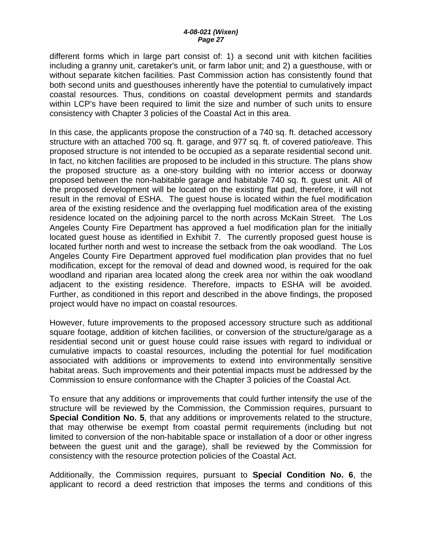different forms which in large part consist of: 1) a second unit with kitchen facilities including a granny unit, caretaker's unit, or farm labor unit; and 2) a guesthouse, with or without separate kitchen facilities. Past Commission action has consistently found that both second units and guesthouses inherently have the potential to cumulatively impact coastal resources. Thus, conditions on coastal development permits and standards within LCP's have been required to limit the size and number of such units to ensure consistency with Chapter 3 policies of the Coastal Act in this area.

In this case, the applicants propose the construction of a 740 sq. ft. detached accessory structure with an attached 700 sq. ft. garage, and 977 sq. ft. of covered patio/eave. This proposed structure is not intended to be occupied as a separate residential second unit. In fact, no kitchen facilities are proposed to be included in this structure. The plans show the proposed structure as a one-story building with no interior access or doorway proposed between the non-habitable garage and habitable 740 sq. ft. guest unit. All of the proposed development will be located on the existing flat pad, therefore, it will not result in the removal of ESHA. The guest house is located within the fuel modification area of the existing residence and the overlapping fuel modification area of the existing residence located on the adjoining parcel to the north across McKain Street. The Los Angeles County Fire Department has approved a fuel modification plan for the initially located guest house as identified in Exhibit 7. The currently proposed guest house is located further north and west to increase the setback from the oak woodland. The Los Angeles County Fire Department approved fuel modification plan provides that no fuel modification, except for the removal of dead and downed wood, is required for the oak woodland and riparian area located along the creek area nor within the oak woodland adjacent to the existing residence. Therefore, impacts to ESHA will be avoided. Further, as conditioned in this report and described in the above findings, the proposed project would have no impact on coastal resources.

However, future improvements to the proposed accessory structure such as additional square footage, addition of kitchen facilities, or conversion of the structure/garage as a residential second unit or guest house could raise issues with regard to individual or cumulative impacts to coastal resources, including the potential for fuel modification associated with additions or improvements to extend into environmentally sensitive habitat areas. Such improvements and their potential impacts must be addressed by the Commission to ensure conformance with the Chapter 3 policies of the Coastal Act.

To ensure that any additions or improvements that could further intensify the use of the structure will be reviewed by the Commission, the Commission requires, pursuant to **Special Condition No. 5**, that any additions or improvements related to the structure, that may otherwise be exempt from coastal permit requirements (including but not limited to conversion of the non-habitable space or installation of a door or other ingress between the guest unit and the garage), shall be reviewed by the Commission for consistency with the resource protection policies of the Coastal Act.

Additionally, the Commission requires, pursuant to **Special Condition No. 6**, the applicant to record a deed restriction that imposes the terms and conditions of this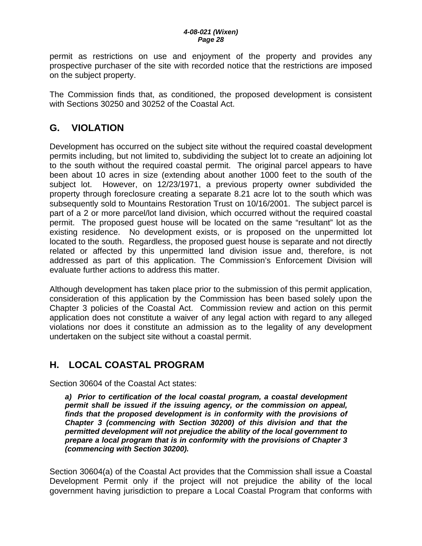<span id="page-27-0"></span>permit as restrictions on use and enjoyment of the property and provides any prospective purchaser of the site with recorded notice that the restrictions are imposed on the subject property.

The Commission finds that, as conditioned, the proposed development is consistent with Sections 30250 and 30252 of the Coastal Act.

## **G. VIOLATION**

Development has occurred on the subject site without the required coastal development permits including, but not limited to, subdividing the subject lot to create an adjoining lot to the south without the required coastal permit. The original parcel appears to have been about 10 acres in size (extending about another 1000 feet to the south of the subject lot. However, on 12/23/1971, a previous property owner subdivided the property through foreclosure creating a separate 8.21 acre lot to the south which was subsequently sold to Mountains Restoration Trust on 10/16/2001. The subject parcel is part of a 2 or more parcel/lot land division, which occurred without the required coastal permit. The proposed guest house will be located on the same "resultant" lot as the existing residence. No development exists, or is proposed on the unpermitted lot located to the south. Regardless, the proposed guest house is separate and not directly related or affected by this unpermitted land division issue and, therefore, is not addressed as part of this application. The Commission's Enforcement Division will evaluate further actions to address this matter.

Although development has taken place prior to the submission of this permit application, consideration of this application by the Commission has been based solely upon the Chapter 3 policies of the Coastal Act. Commission review and action on this permit application does not constitute a waiver of any legal action with regard to any alleged violations nor does it constitute an admission as to the legality of any development undertaken on the subject site without a coastal permit.

# **H. LOCAL COASTAL PROGRAM**

Section 30604 of the Coastal Act states:

*a) Prior to certification of the local coastal program, a coastal development permit shall be issued if the issuing agency, or the commission on appeal, finds that the proposed development is in conformity with the provisions of Chapter 3 (commencing with Section 30200) of this division and that the permitted development will not prejudice the ability of the local government to prepare a local program that is in conformity with the provisions of Chapter 3 (commencing with Section 30200).* 

Section 30604(a) of the Coastal Act provides that the Commission shall issue a Coastal Development Permit only if the project will not prejudice the ability of the local government having jurisdiction to prepare a Local Coastal Program that conforms with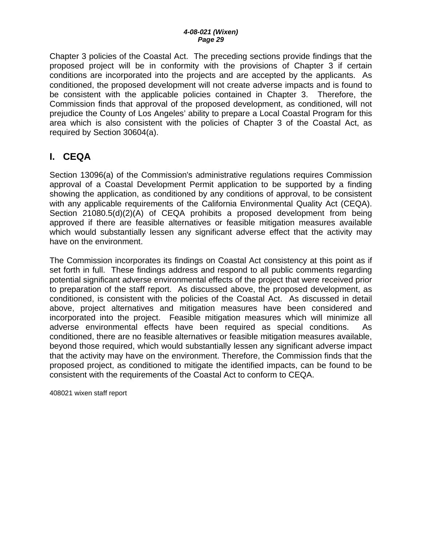<span id="page-28-0"></span>Chapter 3 policies of the Coastal Act. The preceding sections provide findings that the proposed project will be in conformity with the provisions of Chapter 3 if certain conditions are incorporated into the projects and are accepted by the applicants. As conditioned, the proposed development will not create adverse impacts and is found to be consistent with the applicable policies contained in Chapter 3. Therefore, the Commission finds that approval of the proposed development, as conditioned, will not prejudice the County of Los Angeles' ability to prepare a Local Coastal Program for this area which is also consistent with the policies of Chapter 3 of the Coastal Act, as required by Section 30604(a).

# **I. CEQA**

Section 13096(a) of the Commission's administrative regulations requires Commission approval of a Coastal Development Permit application to be supported by a finding showing the application, as conditioned by any conditions of approval, to be consistent with any applicable requirements of the California Environmental Quality Act (CEQA). Section 21080.5(d)(2)(A) of CEQA prohibits a proposed development from being approved if there are feasible alternatives or feasible mitigation measures available which would substantially lessen any significant adverse effect that the activity may have on the environment.

The Commission incorporates its findings on Coastal Act consistency at this point as if set forth in full. These findings address and respond to all public comments regarding potential significant adverse environmental effects of the project that were received prior to preparation of the staff report. As discussed above, the proposed development, as conditioned, is consistent with the policies of the Coastal Act. As discussed in detail above, project alternatives and mitigation measures have been considered and incorporated into the project. Feasible mitigation measures which will minimize all adverse environmental effects have been required as special conditions. As conditioned, there are no feasible alternatives or feasible mitigation measures available, beyond those required, which would substantially lessen any significant adverse impact that the activity may have on the environment. Therefore, the Commission finds that the proposed project, as conditioned to mitigate the identified impacts, can be found to be consistent with the requirements of the Coastal Act to conform to CEQA.

408021 wixen staff report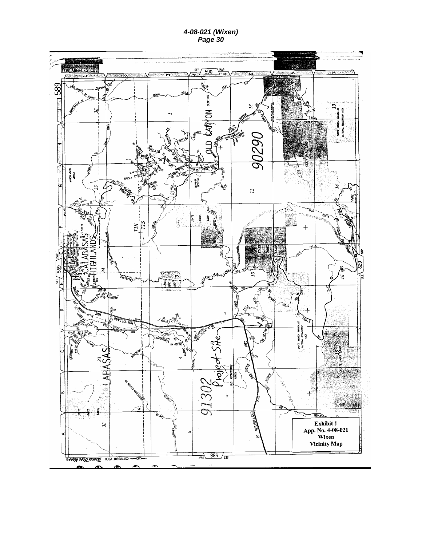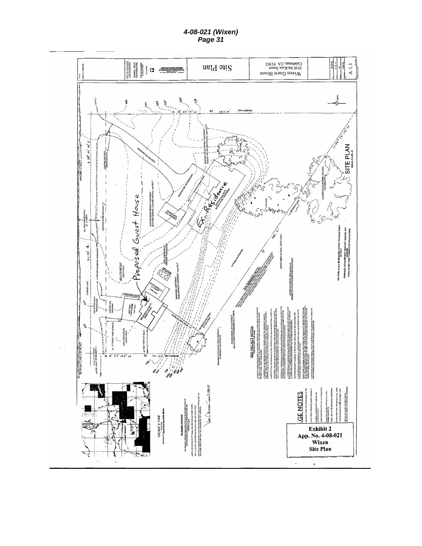*4-08-021 (Wixen) Page 31 Page 31* 

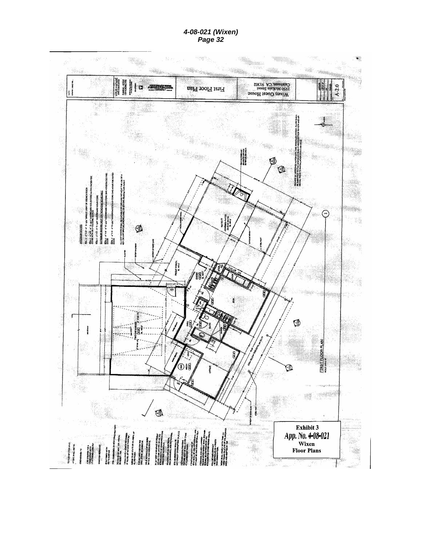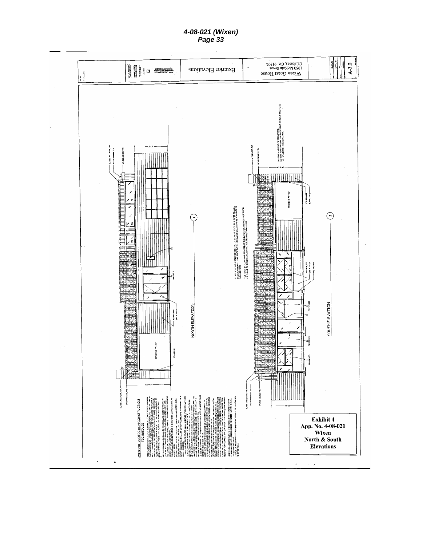*4-08-021 (Wixen) Page 33 Page 33* 

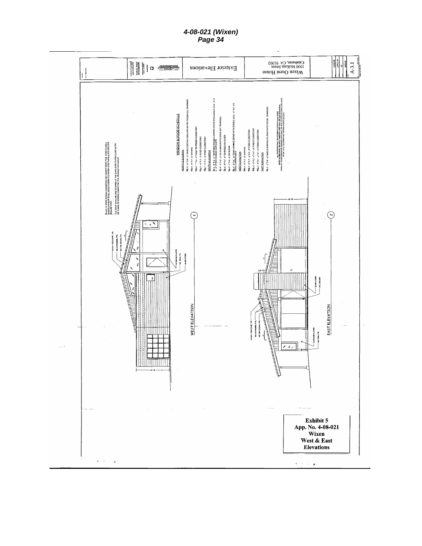*4-08-021 (Wixen) Page 34 Page 34* 

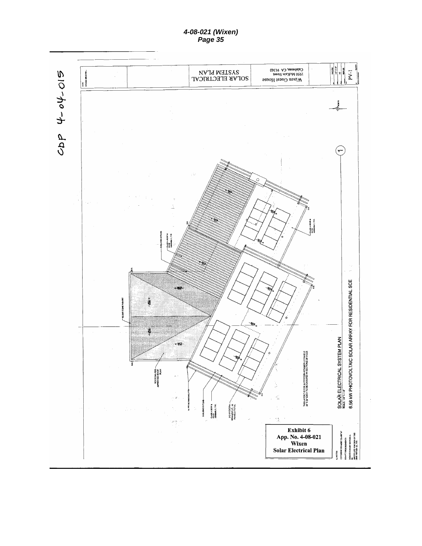*4-08-021 (Wixen) Page 35 Page 35* 

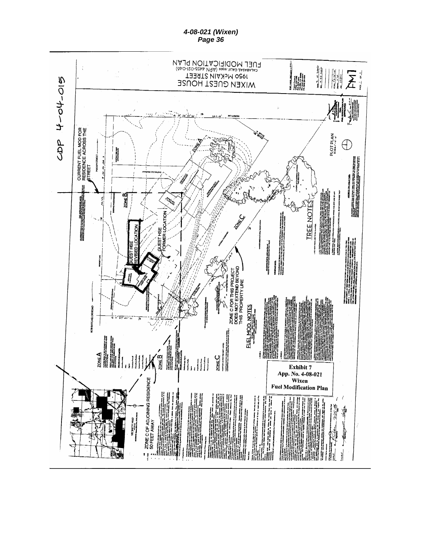*Page 36* 



*4-08-021 (Wixen)*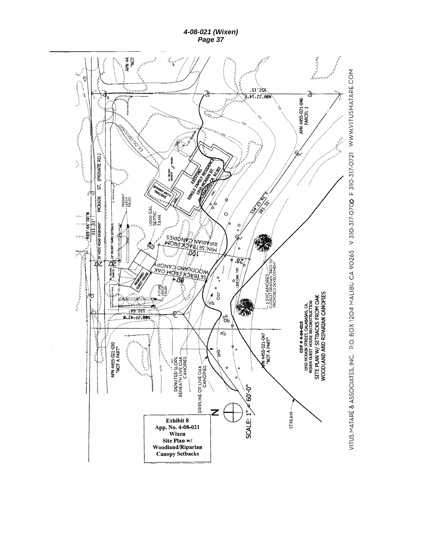